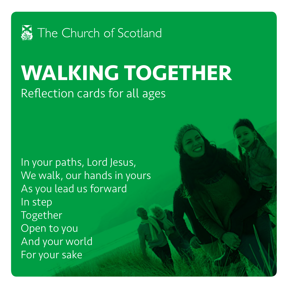

# **WALKING TOGETHER** Reflection cards for all ages

In your paths, Lord Jesus, We walk, our hands in yours As you lead us forward In step Together Open to you And your world For your sake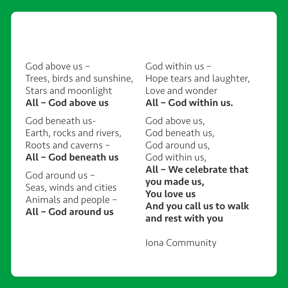#### God above us – Trees, birds and sunshine, Stars and moonlight All – God above us

God beneath us-Earth, rocks and rivers, Roots and caverns – All – God beneath us

God around us – Seas, winds and cities Animals and people – All – God around us

God within us – Hope tears and laughter, Love and wonder All – God within us.

God above us, God beneath us, God around us, God within us, All – We celebrate that you made us, You love us And you call us to walk and rest with you

Iona Community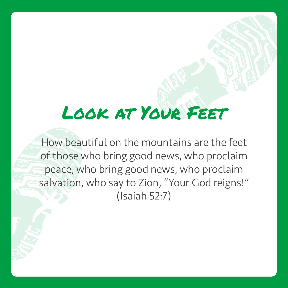# Look at Your Feet

How beautiful on the mountains are the feet of those who bring good news, who proclaim peace, who bring good news, who proclaim salvation, who say to Zion, "Your God reigns!" (Isaiah 52:7)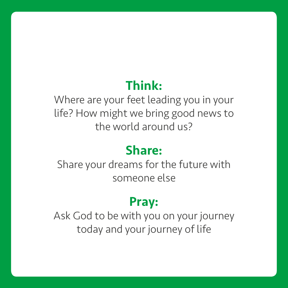Where are your feet leading you in your life? How might we bring good news to the world around us?

### Share:

Share your dreams for the future with someone else

#### Pray:

Ask God to be with you on your journey today and your journey of life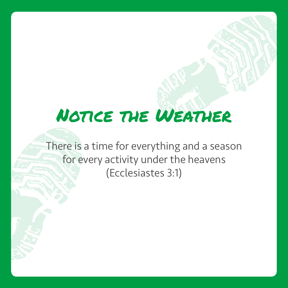# Notice the Weather

There is a time for everything and a season for every activity under the heavens (Ecclesiastes 3:1)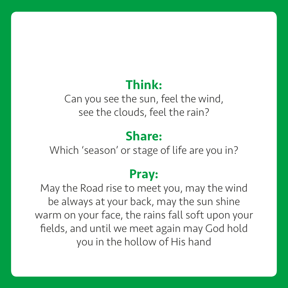Can you see the sun, feel the wind, see the clouds, feel the rain?

#### Share:

Which 'season' or stage of life are you in?

#### Pray:

May the Road rise to meet you, may the wind be always at your back, may the sun shine warm on your face, the rains fall soft upon your fields, and until we meet again may God hold you in the hollow of His hand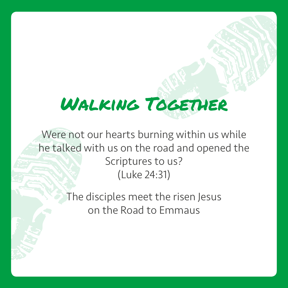# WALKING TOGETHER

Were not our hearts burning within us while he talked with us on the road and opened the Scriptures to us? (Luke 24:31)

> The disciples meet the risen Jesus on the Road to Emmaus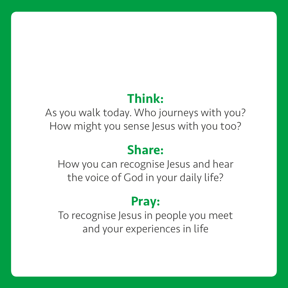As you walk today. Who journeys with you? How might you sense Jesus with you too?

### Share:

How you can recognise Jesus and hear the voice of God in your daily life?

#### Pray:

To recognise Jesus in people you meet and your experiences in life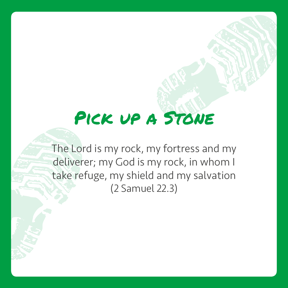# PICK UP A STONE

The Lord is my rock, my fortress and my deliverer; my God is my rock, in whom I take refuge, my shield and my salvation (2 Samuel 22.3)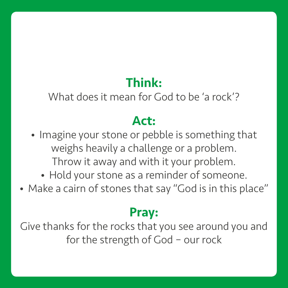What does it mean for God to be 'a rock'?

## Act:

- Imagine your stone or pebble is something that weighs heavily a challenge or a problem. Throw it away and with it your problem.
	- Hold your stone as a reminder of someone.
- Make a cairn of stones that say "God is in this place"

### Pray:

Give thanks for the rocks that you see around you and for the strength of God – our rock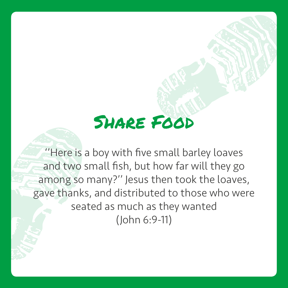# Share Food

''Here is a boy with five small barley loaves and two small fish, but how far will they go among so many?'' Jesus then took the loaves, gave thanks, and distributed to those who were seated as much as they wanted (John 6:9-11)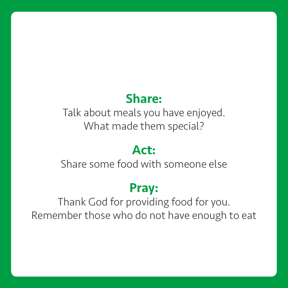#### Share:

Talk about meals you have enjoyed. What made them special?

#### Act:

Share some food with someone else

### Pray:

Thank God for providing food for you. Remember those who do not have enough to eat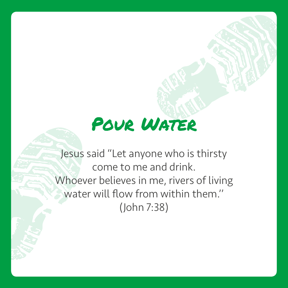# Pour Water

Jesus said "Let anyone who is thirsty come to me and drink. Whoever believes in me, rivers of living water will flow from within them.'' (John 7:38)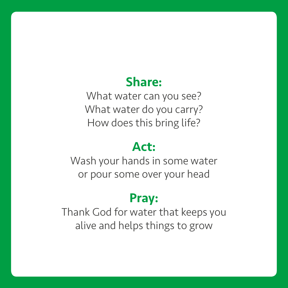#### Share:

What water can you see? What water do you carry? How does this bring life?

#### Act:

Wash your hands in some water or pour some over your head

#### Pray:

Thank God for water that keeps you alive and helps things to grow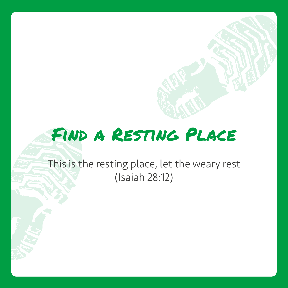# Find a Resting Place

#### This is the resting place, let the weary rest (Isaiah 28:12)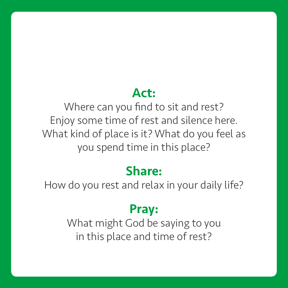#### Act:

Where can you find to sit and rest? Enjoy some time of rest and silence here. What kind of place is it? What do you feel as you spend time in this place?

#### Share:

How do you rest and relax in your daily life?

#### Pray:

What might God be saying to you in this place and time of rest?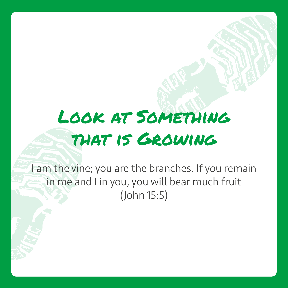# Look at Something that is Growing

I am the vine; you are the branches. If you remain in me and I in you, you will bear much fruit (John 15:5)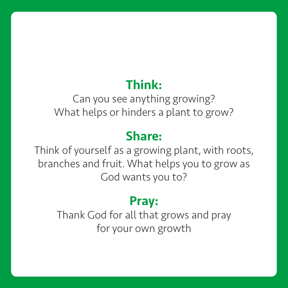Can you see anything growing? What helps or hinders a plant to grow?

#### Share:

Think of yourself as a growing plant, with roots, branches and fruit. What helps you to grow as God wants you to?

#### Pray:

Thank God for all that grows and pray for your own growth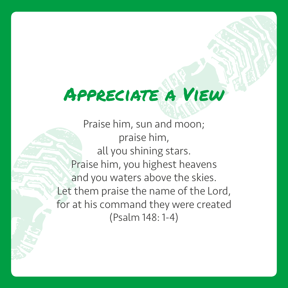# Appreciate a View

Praise him, sun and moon; praise him, all you shining stars. Praise him, you highest heavens and you waters above the skies. Let them praise the name of the Lord, for at his command they were created (Psalm 148: 1-4)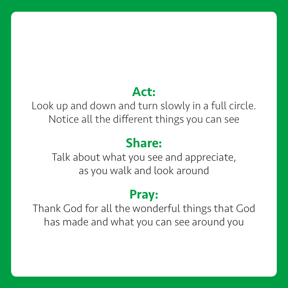#### Act:

Look up and down and turn slowly in a full circle. Notice all the different things you can see

### Share:

Talk about what you see and appreciate, as you walk and look around

## Pray:

Thank God for all the wonderful things that God has made and what you can see around you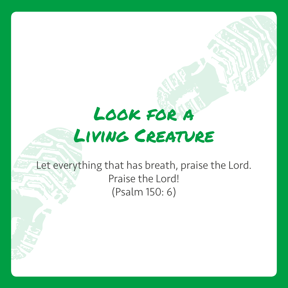# Look for a Living Creature

Let everything that has breath, praise the Lord. Praise the Lord! (Psalm 150: 6)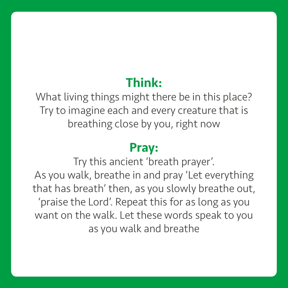What living things might there be in this place? Try to imagine each and every creature that is breathing close by you, right now

#### Pray:

Try this ancient 'breath prayer'. As you walk, breathe in and pray 'Let everything that has breath' then, as you slowly breathe out, 'praise the Lord'. Repeat this for as long as you want on the walk. Let these words speak to you as you walk and breathe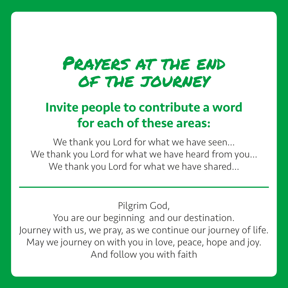# PRAYERS AT THE END of the journey

## Invite people to contribute a word for each of these areas:

We thank you Lord for what we have seen... We thank you Lord for what we have heard from you… We thank you Lord for what we have shared...

Pilgrim God,

You are our beginning and our destination. Journey with us, we pray, as we continue our journey of life. May we journey on with you in love, peace, hope and joy. And follow you with faith